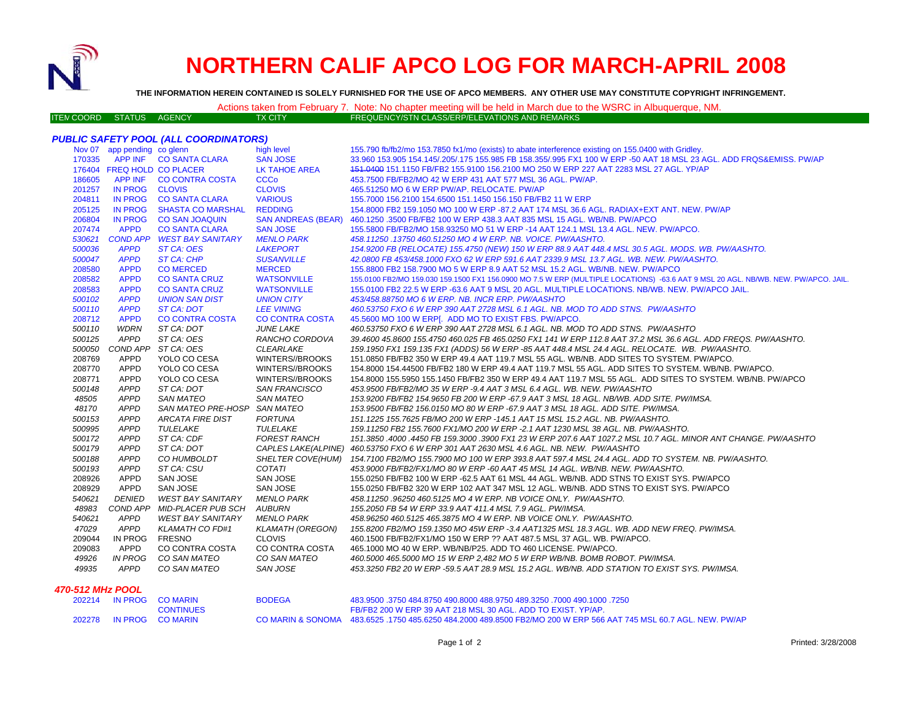

# **NORTHERN CALIF APCO LOG FOR MARCH-APRIL 2008**

**THE INFORMATION HEREIN CONTAINED IS SOLELY FURNISHED FOR THE USE OF APCO MEMBERS. ANY OTHER USE MAY CONSTITUTE COPYRIGHT INFRINGEMENT.**

## Actions taken from February 7. Note: No chapter meeting will be held in March due to the WSRC in Albuquerque, NM.

ITEM COORD STATUS AGENCY TX CITY FREQUENCY/STN CLASS/ERP/ELEVATIONS AND REMARKS

## *PUBLIC SAFETY POOL (ALL COORDINATORS)*

|        | Nov 07 app pending co glenn |                              | high level                | 155.790 fb/fb2/mo 153.7850 fx1/mo (exists) to abate interference existing on 155.0400 with Gridley.                               |
|--------|-----------------------------|------------------------------|---------------------------|-----------------------------------------------------------------------------------------------------------------------------------|
| 170335 |                             | APP INF CO SANTA CLARA       | <b>SAN JOSE</b>           | 33.960 153.905 154.145/.205/.175 155.985 FB 158.355/.995 FX1 100 W ERP -50 AAT 18 MSL 23 AGL. ADD FRQS&EMISS. PW/AP               |
|        | 176404 FREQ HOLD CO PLACER  |                              | <b>LK TAHOE AREA</b>      | 151,0400 151,1150 FB/FB2 155,9100 156,2100 MO 250 W ERP 227 AAT 2283 MSL 27 AGL, YP/AP                                            |
| 186605 |                             | APP INF CO CONTRA COSTA      | <b>CCCo</b>               | 453.7500 FB/FB2/MO 42 W ERP 431 AAT 577 MSL 36 AGL, PW/AP.                                                                        |
| 201257 | IN PROG CLOVIS              |                              | <b>CLOVIS</b>             | 465.51250 MO 6 W ERP PW/AP. RELOCATE. PW/AP                                                                                       |
| 204811 | <b>IN PROG</b>              | <b>CO SANTA CLARA</b>        | <b>VARIOUS</b>            | 155.7000 156.2100 154.6500 151.1450 156.150 FB/FB2 11 W ERP                                                                       |
| 205125 | <b>IN PROG</b>              | <b>SHASTA CO MARSHAL</b>     | <b>REDDING</b>            | 154.8000 FB2 159.1050 MO 100 W ERP -87.2 AAT 174 MSL 36.6 AGL. RADIAX+EXT ANT. NEW. PW/AP                                         |
| 206804 | <b>IN PROG</b>              | <b>CO SAN JOAQUIN</b>        | <b>SAN ANDREAS (BEAR)</b> | 460.1250.3500 FB/FB2 100 W ERP 438.3 AAT 835 MSL 15 AGL. WB/NB. PW/APCO                                                           |
| 207474 | <b>APPD</b>                 | <b>CO SANTA CLARA</b>        | <b>SAN JOSE</b>           | 155.5800 FB/FB2/MO 158.93250 MO 51 W ERP -14 AAT 124.1 MSL 13.4 AGL. NEW. PW/APCO.                                                |
| 530621 |                             | COND APP WEST BAY SANITARY   | <b>MENLO PARK</b>         | 458.11250.13750 460.51250 MO 4 W ERP. NB. VOICE. PW/AASHTO.                                                                       |
| 500036 | <b>APPD</b>                 | ST CA: OES                   | <b>LAKEPORT</b>           | 154.9200 FB (RELOCATE) 155.4750 (NEW) 150 W ERP 88.9 AAT 448.4 MSL 30.5 AGL. MODS. WB. PW/AASHTO.                                 |
| 500047 | <b>APPD</b>                 | <b>ST CA: CHP</b>            | <b>SUSANVILLE</b>         | 42.0800 FB 453/458.1000 FXO 62 W ERP 591.6 AAT 2339.9 MSL 13.7 AGL. WB. NEW. PW/AASHTO.                                           |
| 208580 | <b>APPD</b>                 | <b>CO MERCED</b>             | <b>MERCED</b>             | 155.8800 FB2 158.7900 MO 5 W ERP 8.9 AAT 52 MSL 15.2 AGL. WB/NB. NEW. PW/APCO                                                     |
| 208582 | <b>APPD</b>                 | <b>CO SANTA CRUZ</b>         | <b>WATSONVILLE</b>        | 155.0100 FB2/MO 159.030 159.1500 FX1 156.0900 MO 7.5 W ERP (MULTIPLE LOCATIONS) -63.6 AAT 9 MSL 20 AGL. NB/WB. NEW. PW/APCO. JAIL |
| 208583 | <b>APPD</b>                 | <b>CO SANTA CRUZ</b>         | <b>WATSONVILLE</b>        | 155.0100 FB2 22.5 W ERP -63.6 AAT 9 MSL 20 AGL. MULTIPLE LOCATIONS. NB/WB. NEW. PW/APCO JAIL.                                     |
| 500102 | <b>APPD</b>                 | <b>UNION SAN DIST</b>        | <b>UNION CITY</b>         | 453/458.88750 MO 6 W ERP. NB. INCR ERP. PW/AASHTO                                                                                 |
| 500110 | <b>APPD</b>                 | <b>ST CA: DOT</b>            | <b>LEE VINING</b>         | 460.53750 FXO 6 W ERP 390 AAT 2728 MSL 6.1 AGL. NB. MOD TO ADD STNS. PW/AASHTO                                                    |
| 208712 | <b>APPD</b>                 | <b>CO CONTRA COSTA</b>       | <b>CO CONTRA COSTA</b>    | 45.5600 MO 100 W ERP[. ADD MO TO EXIST FBS. PW/APCO.                                                                              |
| 500110 | <b>WDRN</b>                 | ST CA: DOT                   | <b>JUNE LAKE</b>          | 460.53750 FXO 6 W ERP 390 AAT 2728 MSL 6.1 AGL. NB. MOD TO ADD STNS. PW/AASHTO                                                    |
| 500125 | <b>APPD</b>                 | ST CA: OES                   | RANCHO CORDOVA            | 39.4600 45.8600 155.4750 460.025 FB 465.0250 FX1 141 W ERP 112.8 AAT 37.2 MSL 36.6 AGL. ADD FREQS. PW/AASHTO.                     |
| 500050 |                             | COND APP ST CA: OES          | <b>CLEARLAKE</b>          | 159.1950 FX1 159.135 FX1 (ADDS) 56 W ERP -85 AAT 448.4 MSL 24.4 AGL. RELOCATE. WB. PW/AASHTO.                                     |
| 208769 | APPD                        | YOLO CO CESA                 | WINTERS//BROOKS           | 151.0850 FB/FB2 350 W ERP 49.4 AAT 119.7 MSL 55 AGL. WB/NB. ADD SITES TO SYSTEM. PW/APCO.                                         |
| 208770 | <b>APPD</b>                 | YOLO CO CESA                 | WINTERS//BROOKS           | 154.8000 154.44500 FB/FB2 180 W ERP 49.4 AAT 119.7 MSL 55 AGL. ADD SITES TO SYSTEM. WB/NB. PW/APCO.                               |
| 208771 | APPD                        | YOLO CO CESA                 | WINTERS//BROOKS           | 154.8000 155.5950 155.1450 FB/FB2 350 W ERP 49.4 AAT 119.7 MSL 55 AGL. ADD SITES TO SYSTEM. WB/NB. PW/APCO                        |
| 500148 | <b>APPD</b>                 | ST CA: DOT                   | <b>SAN FRANCISCO</b>      | 453.9500 FB/FB2/MO 35 W ERP -9.4 AAT 3 MSL 6.4 AGL. WB. NEW. PW/AASHTO                                                            |
| 48505  | <b>APPD</b>                 | <b>SAN MATEO</b>             | <b>SAN MATEO</b>          | 153.9200 FB/FB2 154.9650 FB 200 W ERP -67.9 AAT 3 MSL 18 AGL. NB/WB. ADD SITE. PW/IMSA.                                           |
| 48170  | <b>APPD</b>                 | SAN MATEO PRE-HOSP SAN MATEO |                           | 153.9500 FB/FB2 156.0150 MO 80 W ERP -67.9 AAT 3 MSL 18 AGL. ADD SITE. PW/IMSA.                                                   |
| 500153 | <b>APPD</b>                 | <b>ARCATA FIRE DIST</b>      | <b>FORTUNA</b>            | 151.1225 155.7625 FB/MO 200 W ERP -145.1 AAT 15 MSL 15.2 AGL. NB. PW/AASHTO.                                                      |
| 500995 | <b>APPD</b>                 | TULELAKE                     | TULELAKE                  | 159.11250 FB2 155.7600 FX1/MO 200 W ERP -2.1 AAT 1230 MSL 38 AGL. NB. PW/AASHTO.                                                  |
| 500172 | <b>APPD</b>                 | ST CA: CDF                   | <b>FOREST RANCH</b>       | 151.3850 .4000 .4450 FB 159.3000 .3900 FX1 23 W ERP 207.6 AAT 1027.2 MSL 10.7 AGL. MINOR ANT CHANGE. PW/AASHTO                    |
| 500179 | <b>APPD</b>                 | ST CA: DOT                   | CAPLES LAKE(ALPINE)       | 460.53750 FXO 6 W ERP 301 AAT 2630 MSL 4.6 AGL. NB. NEW. PW/AASHTO                                                                |
| 500188 | <b>APPD</b>                 | CO HUMBOLDT                  | <b>SHELTER COVE(HUM)</b>  | 154.7100 FB2/MO 155.7900 MO 100 W ERP 393.8 AAT 597.4 MSL 24.4 AGL. ADD TO SYSTEM. NB. PW/AASHTO.                                 |
| 500193 | <b>APPD</b>                 | ST CA: CSU                   | COTATI                    | 453.9000 FB/FB2/FX1/MO 80 W ERP -60 AAT 45 MSL 14 AGL. WB/NB. NEW. PW/AASHTO.                                                     |
| 208926 | <b>APPD</b>                 | SAN JOSE                     | SAN JOSE                  | 155.0250 FB/FB2 100 W ERP -62.5 AAT 61 MSL 44 AGL. WB/NB. ADD STNS TO EXIST SYS. PW/APCO                                          |
| 208929 | APPD                        | SAN JOSE                     | SAN JOSE                  | 155.0250 FB/FB2 320 W ERP 102 AAT 347 MSL 12 AGL. WB/NB. ADD STNS TO EXIST SYS. PW/APCO                                           |
| 540621 | <b>DENIED</b>               | <b>WEST BAY SANITARY</b>     | MENLO PARK                | 458.11250.96250 460.5125 MO 4 W ERP. NB VOICE ONLY. PW/AASHTO.                                                                    |
| 48983  |                             | COND APP MID-PLACER PUB SCH  | <b>AUBURN</b>             | 155.2050 FB 54 W ERP 33.9 AAT 411.4 MSL 7.9 AGL. PW/IMSA.                                                                         |
| 540621 | <b>APPD</b>                 | <b>WEST BAY SANITARY</b>     | <b>MENLO PARK</b>         | 458.96250 460.5125 465.3875 MO 4 W ERP. NB VOICE ONLY. PW/AASHTO.                                                                 |
| 47029  | <b>APPD</b>                 | <b>KLAMATH CO FD#1</b>       | <b>KLAMATH (OREGON)</b>   | 155.8200 FB2/MO 159.1350 MO 45W ERP -3.4 AAT1325 MSL 18.3 AGL. WB. ADD NEW FREQ. PW/IMSA.                                         |
| 209044 | IN PROG                     | <b>FRESNO</b>                | <b>CLOVIS</b>             | 460.1500 FB/FB2/FX1/MO 150 W ERP ?? AAT 487.5 MSL 37 AGL. WB. PW/APCO.                                                            |
| 209083 | APPD                        | CO CONTRA COSTA              | CO CONTRA COSTA           | 465.1000 MO 40 W ERP. WB/NB/P25. ADD TO 460 LICENSE. PW/APCO.                                                                     |
| 49926  | <b>IN PROG</b>              | CO SAN MATEO                 | CO SAN MATEO              | 460.5000 465.5000 MO 15 W ERP 2,482 MO 5 W ERP WB/NB. BOMB ROBOT. PW/IMSA.                                                        |
| 49935  | <b>APPD</b>                 | CO SAN MATEO                 | SAN JOSE                  | 453.3250 FB2 20 W ERP -59.5 AAT 28.9 MSL 15.2 AGL. WB/NB. ADD STATION TO EXIST SYS. PW/IMSA.                                      |

#### *470-512 MHz POOL*

|  | 202214 IN PROG CO MARIN | <b>BODEGA</b> | 483,9500 .3750 484.8750 490.8000 488.9750 489.3250 .7000 490.1000 .7250                                           |
|--|-------------------------|---------------|-------------------------------------------------------------------------------------------------------------------|
|  | <b>CONTINUES</b>        |               | FB/FB2 200 W ERP 39 AAT 218 MSL 30 AGL. ADD TO EXIST, YP/AP,                                                      |
|  | 202278 IN PROG COMARIN  |               | CO MARIN & SONOMA 483.6525 .1750 485.6250 484.2000 489.8500 FB2/MO 200 W ERP 566 AAT 745 MSL 60.7 AGL. NEW, PW/AP |